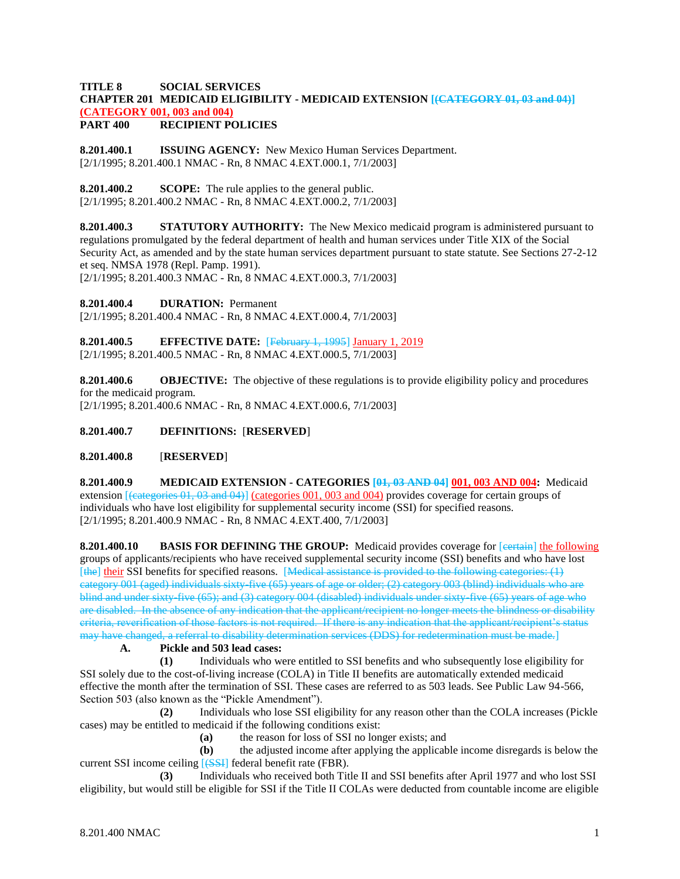#### **TITLE 8 SOCIAL SERVICES CHAPTER 201 MEDICAID ELIGIBILITY - MEDICAID EXTENSION [(CATEGORY 01, 03 and 04)] (CATEGORY 001, 003 and 004) PART 400 RECIPIENT POLICIES**

**8.201.400.1 ISSUING AGENCY:** New Mexico Human Services Department. [2/1/1995; 8.201.400.1 NMAC - Rn, 8 NMAC 4.EXT.000.1, 7/1/2003]

**8.201.400.2 SCOPE:** The rule applies to the general public.

[2/1/1995; 8.201.400.2 NMAC - Rn, 8 NMAC 4.EXT.000.2, 7/1/2003]

**8.201.400.3 STATUTORY AUTHORITY:** The New Mexico medicaid program is administered pursuant to regulations promulgated by the federal department of health and human services under Title XIX of the Social Security Act, as amended and by the state human services department pursuant to state statute. See Sections 27-2-12 et seq. NMSA 1978 (Repl. Pamp. 1991).

[2/1/1995; 8.201.400.3 NMAC - Rn, 8 NMAC 4.EXT.000.3, 7/1/2003]

**8.201.400.4 DURATION:** Permanent

[2/1/1995; 8.201.400.4 NMAC - Rn, 8 NMAC 4.EXT.000.4, 7/1/2003]

**8.201.400.5 EFFECTIVE DATE:** [February 1, 1995] January 1, 2019 [2/1/1995; 8.201.400.5 NMAC - Rn, 8 NMAC 4.EXT.000.5, 7/1/2003]

**8.201.400.6 OBJECTIVE:** The objective of these regulations is to provide eligibility policy and procedures for the medicaid program.

[2/1/1995; 8.201.400.6 NMAC - Rn, 8 NMAC 4.EXT.000.6, 7/1/2003]

## **8.201.400.7 DEFINITIONS:** [**RESERVED**]

**8.201.400.8** [**RESERVED**]

**8.201.400.9 MEDICAID EXTENSION - CATEGORIES [01, 03 AND 04] 001, 003 AND 004:** Medicaid extension  $[$ (categories 01, 03 and 04)] (categories 001, 003 and 004) provides coverage for certain groups of individuals who have lost eligibility for supplemental security income (SSI) for specified reasons. [2/1/1995; 8.201.400.9 NMAC - Rn, 8 NMAC 4.EXT.400, 7/1/2003]

**8.201.400.10 BASIS FOR DEFINING THE GROUP:** Medicaid provides coverage for [eertain] the following groups of applicants/recipients who have received supplemental security income (SSI) benefits and who have lost [the] their SSI benefits for specified reasons. [Medical assistance is provided to the following categories: (1) category 001 (aged) individuals sixty-five (65) years of age or older; (2) category 003 (blind) individuals who are blind and under sixty-five (65); and (3) category 004 (disabled) individuals under sixty-five (65) years of age who are disabled. In the absence of any indication that the applicant/recipient no longer meets the blindness or disability criteria, reverification of those factors is not required. If there is any indication that the applicant/recipient's status may have changed, a referral to disability determination services (DDS) for redetermination must be made.]

## **A. Pickle and 503 lead cases:**

**(1)** Individuals who were entitled to SSI benefits and who subsequently lose eligibility for SSI solely due to the cost-of-living increase (COLA) in Title II benefits are automatically extended medicaid effective the month after the termination of SSI. These cases are referred to as 503 leads. See Public Law 94-566, Section 503 (also known as the "Pickle Amendment").

**(2)** Individuals who lose SSI eligibility for any reason other than the COLA increases (Pickle cases) may be entitled to medicaid if the following conditions exist:

**(a)** the reason for loss of SSI no longer exists; and

**(b)** the adjusted income after applying the applicable income disregards is below the current SSI income ceiling [(SSI] federal benefit rate (FBR).

**(3)** Individuals who received both Title II and SSI benefits after April 1977 and who lost SSI eligibility, but would still be eligible for SSI if the Title II COLAs were deducted from countable income are eligible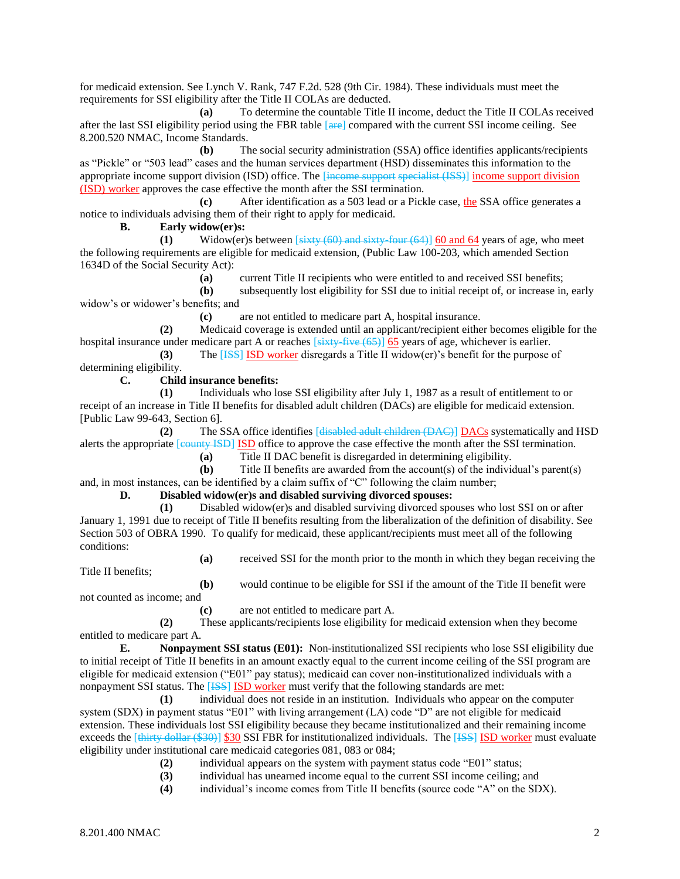for medicaid extension. See Lynch V. Rank, 747 F.2d. 528 (9th Cir. 1984). These individuals must meet the requirements for SSI eligibility after the Title II COLAs are deducted.

**(a)** To determine the countable Title II income, deduct the Title II COLAs received after the last SSI eligibility period using the FBR table [are] compared with the current SSI income ceiling. See 8.200.520 NMAC, Income Standards.

**(b)** The social security administration (SSA) office identifies applicants/recipients as "Pickle" or "503 lead" cases and the human services department (HSD) disseminates this information to the appropriate income support division (ISD) office. The [income support specialist (ISS)] income support division (ISD) worker approves the case effective the month after the SSI termination.

**(c)** After identification as a 503 lead or a Pickle case, the SSA office generates a notice to individuals advising them of their right to apply for medicaid.

### **B. Early widow(er)s:**

**(1)** Widow(er)s between [sixty (60) and sixty-four (64)] 60 and 64 years of age, who meet the following requirements are eligible for medicaid extension, (Public Law 100-203, which amended Section 1634D of the Social Security Act):

**(a)** current Title II recipients who were entitled to and received SSI benefits;

**(b)** subsequently lost eligibility for SSI due to initial receipt of, or increase in, early widow's or widower's benefits; and

**(c)** are not entitled to medicare part A, hospital insurance.

**(2)** Medicaid coverage is extended until an applicant/recipient either becomes eligible for the hospital insurance under medicare part A or reaches  $[\frac{\text{sixty}}{\text{five}}(\frac{65}{6})]$  65 years of age, whichever is earlier.

**(3)** The [ISS] ISD worker disregards a Title II widow(er)'s benefit for the purpose of determining eligibility.

### **C. Child insurance benefits:**

**(1)** Individuals who lose SSI eligibility after July 1, 1987 as a result of entitlement to or receipt of an increase in Title II benefits for disabled adult children (DACs) are eligible for medicaid extension. [Public Law 99-643, Section 6].

**(2)** The SSA office identifies [disabled adult children (DAC)] DACs systematically and HSD alerts the appropriate [county ISD] ISD office to approve the case effective the month after the SSI termination.

**(a)** Title II DAC benefit is disregarded in determining eligibility.

**(b)** Title II benefits are awarded from the account(s) of the individual's parent(s) and, in most instances, can be identified by a claim suffix of "C" following the claim number;

# **D. Disabled widow(er)s and disabled surviving divorced spouses:**

**(1)** Disabled widow(er)s and disabled surviving divorced spouses who lost SSI on or after January 1, 1991 due to receipt of Title II benefits resulting from the liberalization of the definition of disability. See Section 503 of OBRA 1990. To qualify for medicaid, these applicant/recipients must meet all of the following conditions:

**(a)** received SSI for the month prior to the month in which they began receiving the

Title II benefits;

**(b)** would continue to be eligible for SSI if the amount of the Title II benefit were not counted as income; and

**(c)** are not entitled to medicare part A.

**(2)** These applicants/recipients lose eligibility for medicaid extension when they become entitled to medicare part A.

**E. Nonpayment SSI status (E01):** Non-institutionalized SSI recipients who lose SSI eligibility due to initial receipt of Title II benefits in an amount exactly equal to the current income ceiling of the SSI program are eligible for medicaid extension ("E01" pay status); medicaid can cover non-institutionalized individuals with a nonpayment SSI status. The **[ISS] ISD worker** must verify that the following standards are met:

**(1)** individual does not reside in an institution. Individuals who appear on the computer system (SDX) in payment status "E01" with living arrangement (LA) code "D" are not eligible for medicaid extension. These individuals lost SSI eligibility because they became institutionalized and their remaining income exceeds the [thirty dollar (\$30)] \$30 SSI FBR for institutionalized individuals. The [ISS] ISD worker must evaluate eligibility under institutional care medicaid categories 081, 083 or 084;

- **(2)** individual appears on the system with payment status code "E01" status;
- **(3)** individual has unearned income equal to the current SSI income ceiling; and

**(4)** individual's income comes from Title II benefits (source code "A" on the SDX).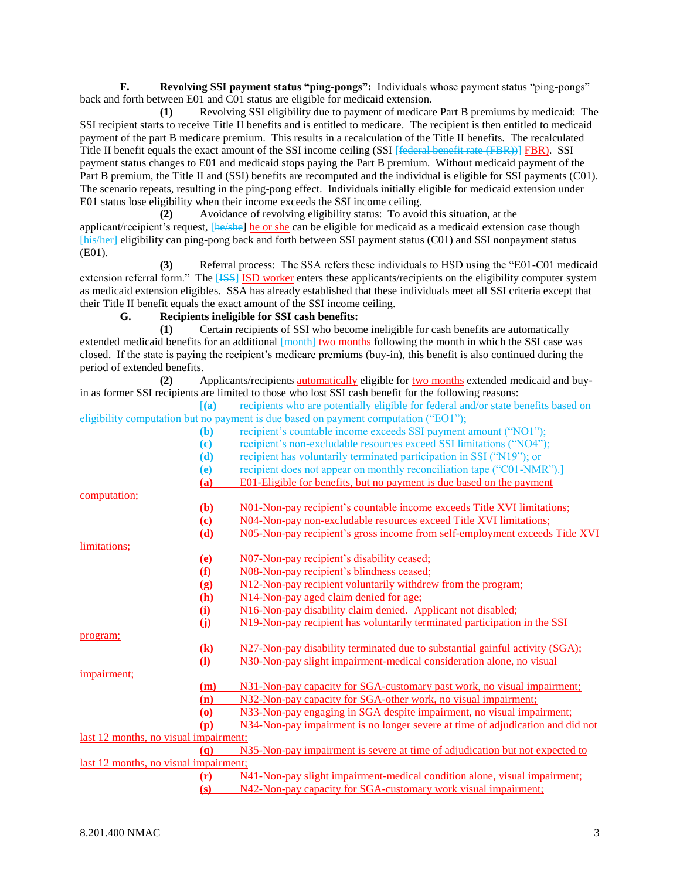**F. Revolving SSI payment status "ping-pongs":** Individuals whose payment status "ping-pongs" back and forth between E01 and C01 status are eligible for medicaid extension.

**(1)** Revolving SSI eligibility due to payment of medicare Part B premiums by medicaid: The SSI recipient starts to receive Title II benefits and is entitled to medicare. The recipient is then entitled to medicaid payment of the part B medicare premium. This results in a recalculation of the Title II benefits. The recalculated Title II benefit equals the exact amount of the SSI income ceiling (SSI [<del>federal benefit rate (FBR))]</del> FBR). SSI payment status changes to E01 and medicaid stops paying the Part B premium. Without medicaid payment of the Part B premium, the Title II and (SSI) benefits are recomputed and the individual is eligible for SSI payments (C01). The scenario repeats, resulting in the ping-pong effect. Individuals initially eligible for medicaid extension under E01 status lose eligibility when their income exceeds the SSI income ceiling.

**(2)** Avoidance of revolving eligibility status: To avoid this situation, at the applicant/recipient's request, [he/she] he or she can be eligible for medicaid as a medicaid extension case though [his/her] eligibility can ping-pong back and forth between SSI payment status (C01) and SSI nonpayment status (E01).

**(3)** Referral process: The SSA refers these individuals to HSD using the "E01-C01 medicaid extension referral form." The [ISS] ISD worker enters these applicants/recipients on the eligibility computer system as medicaid extension eligibles. SSA has already established that these individuals meet all SSI criteria except that their Title II benefit equals the exact amount of the SSI income ceiling.

**G. Recipients ineligible for SSI cash benefits:**

**(1)** Certain recipients of SSI who become ineligible for cash benefits are automatically extended medicaid benefits for an additional [month] two months following the month in which the SSI case was closed. If the state is paying the recipient's medicare premiums (buy-in), this benefit is also continued during the period of extended benefits.

**(2)** Applicants/recipients automatically eligible for two months extended medicaid and buyin as former SSI recipients are limited to those who lost SSI cash benefit for the following reasons:

|                                       |                            | recipients who are potentially eligible for federal and/or state benefits based on                                                       |
|---------------------------------------|----------------------------|------------------------------------------------------------------------------------------------------------------------------------------|
|                                       |                            | eligibility computation but no payment is due based on payment computation ("EO1");                                                      |
|                                       | ⊕                          | recipient's countable income exceeds SSI payment amount ("NO1");<br>recipient's non-excludable resources exceed SSI limitations ("NO4"); |
|                                       | (e)                        |                                                                                                                                          |
|                                       | $\mathbf{f}(\mathbf{d})$   | recipient has voluntarily terminated participation in SSI ("N19"); or                                                                    |
|                                       | (e)                        | recipient does not appear on monthly reconciliation tape ("C01 NMR").]                                                                   |
|                                       | (a)                        | E01-Eligible for benefits, but no payment is due based on the payment                                                                    |
| computation:                          |                            |                                                                                                                                          |
|                                       | (b)                        | N01-Non-pay recipient's countable income exceeds Title XVI limitations;                                                                  |
|                                       | (c)                        | N04-Non-pay non-excludable resources exceed Title XVI limitations;                                                                       |
|                                       | (d)                        | N05-Non-pay recipient's gross income from self-employment exceeds Title XVI                                                              |
| limitations;                          |                            |                                                                                                                                          |
|                                       | (e)                        | N07-Non-pay recipient's disability ceased;                                                                                               |
|                                       | (f)                        | N08-Non-pay recipient's blindness ceased;                                                                                                |
|                                       | $\left( \mathbf{g}\right)$ | N12-Non-pay recipient voluntarily withdrew from the program;                                                                             |
|                                       | (h)                        | N14-Non-pay aged claim denied for age;                                                                                                   |
|                                       | (i)                        | N16-Non-pay disability claim denied. Applicant not disabled;                                                                             |
|                                       | (i)                        | N19-Non-pay recipient has voluntarily terminated participation in the SSI                                                                |
| program;                              |                            |                                                                                                                                          |
|                                       | $\mathbf{(k)}$             | N27-Non-pay disability terminated due to substantial gainful activity (SGA);                                                             |
|                                       | $\mathbf{I}$               | N30-Non-pay slight impairment-medical consideration alone, no visual                                                                     |
| impairment;                           |                            |                                                                                                                                          |
|                                       | (m)                        | N31-Non-pay capacity for SGA-customary past work, no visual impairment;                                                                  |
|                                       | (n)                        | N32-Non-pay capacity for SGA-other work, no visual impairment;                                                                           |
|                                       | (o)                        | N33-Non-pay engaging in SGA despite impairment, no visual impairment;                                                                    |
|                                       | (p)                        | N34-Non-pay impairment is no longer severe at time of adjudication and did not                                                           |
| last 12 months, no visual impairment; |                            |                                                                                                                                          |
|                                       | ( <b>a</b> )               | N35-Non-pay impairment is severe at time of adjudication but not expected to                                                             |
| last 12 months, no visual impairment; |                            |                                                                                                                                          |
|                                       | (r)                        | N41-Non-pay slight impairment-medical condition alone, visual impairment;                                                                |
|                                       | (s)                        | N42-Non-pay capacity for SGA-customary work visual impairment;                                                                           |
|                                       |                            |                                                                                                                                          |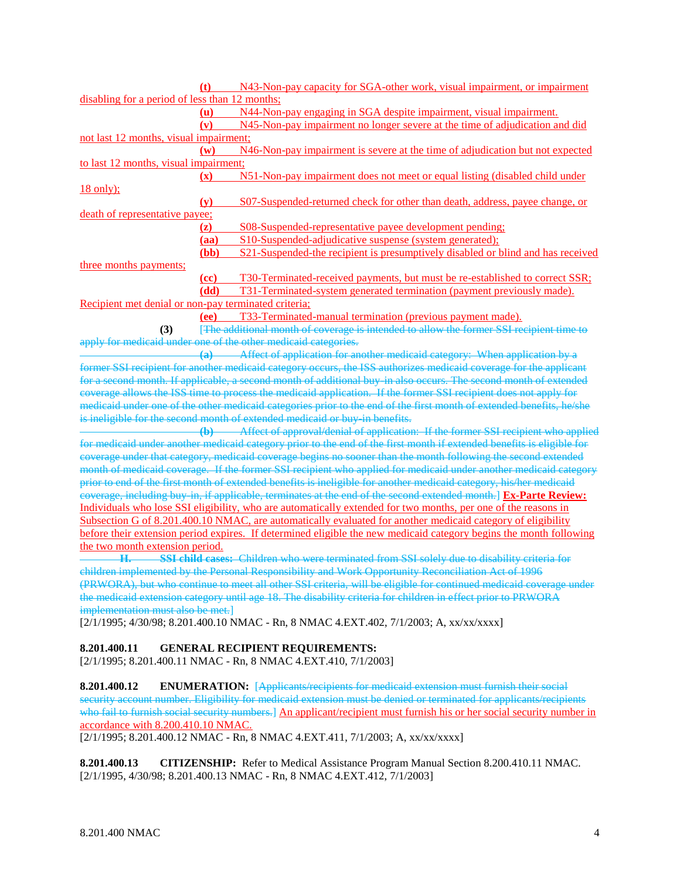**(t)** N43-Non-pay capacity for SGA-other work, visual impairment, or impairment disabling for a period of less than 12 months; **(u)** N44-Non-pay engaging in SGA despite impairment, visual impairment. **(v)** N45-Non-pay impairment no longer severe at the time of adjudication and did not last 12 months, visual impairment; **(w)** N46-Non-pay impairment is severe at the time of adjudication but not expected to last 12 months, visual impairment; **(x)** N51-Non-pay impairment does not meet or equal listing (disabled child under 18 only); **(y)** S07-Suspended-returned check for other than death, address, payee change, or death of representative payee; **(z)** S08-Suspended-representative payee development pending; **(aa)** S10-Suspended-adjudicative suspense (system generated); **(bb)** S21-Suspended-the recipient is presumptively disabled or blind and has received three months payments; **(cc)** T30-Terminated-received payments, but must be re-established to correct SSR; **(dd)** T31-Terminated-system generated termination (payment previously made). Recipient met denial or non-pay terminated criteria; **(ee)** T33-Terminated-manual termination (previous payment made). **(3)** [The additional month of coverage is intended to allow the former SSI recipient time to apply for medicaid under one of the other medicaid categories. **(a)** Affect of application for another medicaid category: When application by a former SSI recipient for another medicaid category occurs, the ISS authorizes medicaid coverage for the applicant for a second month. If applicable, a second month of additional buy-in also occurs. The second month of extended coverage allows the ISS time to process the medicaid application. If the former SSI recipient does not apply for medicaid under one of the other medicaid categories prior to the end of the first month of extended benefits, he/she is ineligible for the second month of extended medicaid or buy-in benefits. **(b)** Affect of approval/denial of application: If the former SSI recipient who applied for medicaid under another medicaid category prior to the end of the first month if extended benefits is eligible for coverage under that category, medicaid coverage begins no sooner than the month following the second extended month of medicaid coverage. If the former SSI recipient who applied for medicaid under another medicaid category prior to end of the first month of extended benefits is ineligible for another medicaid category, his/her medicaid coverage, including buy-in, if applicable, terminates at the end of the second extended month.] **Ex-Parte Review:** Individuals who lose SSI eligibility, who are automatically extended for two months, per one of the reasons in Subsection G of 8.201.400.10 NMAC, are automatically evaluated for another medicaid category of eligibility before their extension period expires. If determined eligible the new medicaid category begins the month following the two month extension period. **H. SSI child cases:** Children who were terminated from SSI solely due to disability criteria for

children implemented by the Personal Responsibility and Work Opportunity Reconciliation Act of 1996 (PRWORA), but who continue to meet all other SSI criteria, will be eligible for continued medicaid coverage under the medicaid extension category until age 18. The disability criteria for children in effect prior to PRWORA implementation must also be met.

[2/1/1995; 4/30/98; 8.201.400.10 NMAC - Rn, 8 NMAC 4.EXT.402, 7/1/2003; A, xx/xx/xxxx]

## **8.201.400.11 GENERAL RECIPIENT REQUIREMENTS:**

[2/1/1995; 8.201.400.11 NMAC - Rn, 8 NMAC 4.EXT.410, 7/1/2003]

**8.201.400.12 ENUMERATION:** [Applicants/recipients for medicaid extension must furnish their social security account number. Eligibility for medicaid extension must be denied or terminated for applicants/recipients who fail to furnish social security numbers.] An applicant/recipient must furnish his or her social security number in accordance with 8.200.410.10 NMAC.

[2/1/1995; 8.201.400.12 NMAC - Rn, 8 NMAC 4.EXT.411, 7/1/2003; A, xx/xx/xxxx]

**8.201.400.13 CITIZENSHIP:** Refer to Medical Assistance Program Manual Section 8.200.410.11 NMAC. [2/1/1995, 4/30/98; 8.201.400.13 NMAC - Rn, 8 NMAC 4.EXT.412, 7/1/2003]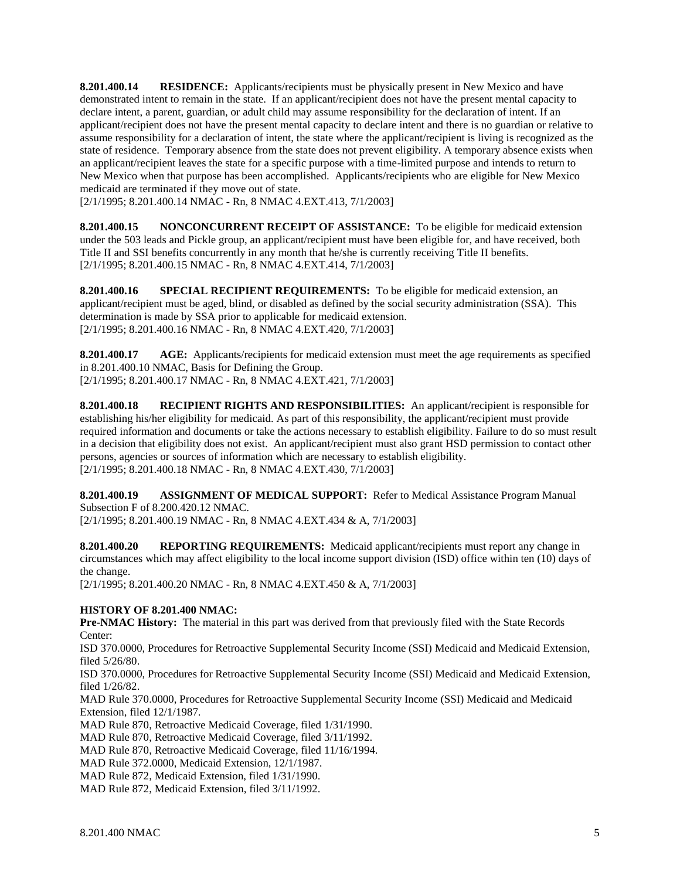**8.201.400.14 RESIDENCE:** Applicants/recipients must be physically present in New Mexico and have demonstrated intent to remain in the state. If an applicant/recipient does not have the present mental capacity to declare intent, a parent, guardian, or adult child may assume responsibility for the declaration of intent. If an applicant/recipient does not have the present mental capacity to declare intent and there is no guardian or relative to assume responsibility for a declaration of intent, the state where the applicant/recipient is living is recognized as the state of residence. Temporary absence from the state does not prevent eligibility. A temporary absence exists when an applicant/recipient leaves the state for a specific purpose with a time-limited purpose and intends to return to New Mexico when that purpose has been accomplished. Applicants/recipients who are eligible for New Mexico medicaid are terminated if they move out of state.

[2/1/1995; 8.201.400.14 NMAC - Rn, 8 NMAC 4.EXT.413, 7/1/2003]

**8.201.400.15 NONCONCURRENT RECEIPT OF ASSISTANCE:** To be eligible for medicaid extension under the 503 leads and Pickle group, an applicant/recipient must have been eligible for, and have received, both Title II and SSI benefits concurrently in any month that he/she is currently receiving Title II benefits. [2/1/1995; 8.201.400.15 NMAC - Rn, 8 NMAC 4.EXT.414, 7/1/2003]

**8.201.400.16 SPECIAL RECIPIENT REQUIREMENTS:** To be eligible for medicaid extension, an applicant/recipient must be aged, blind, or disabled as defined by the social security administration (SSA). This determination is made by SSA prior to applicable for medicaid extension. [2/1/1995; 8.201.400.16 NMAC - Rn, 8 NMAC 4.EXT.420, 7/1/2003]

**8.201.400.17 AGE:** Applicants/recipients for medicaid extension must meet the age requirements as specified in 8.201.400.10 NMAC, Basis for Defining the Group. [2/1/1995; 8.201.400.17 NMAC - Rn, 8 NMAC 4.EXT.421, 7/1/2003]

**8.201.400.18 RECIPIENT RIGHTS AND RESPONSIBILITIES:** An applicant/recipient is responsible for establishing his/her eligibility for medicaid. As part of this responsibility, the applicant/recipient must provide required information and documents or take the actions necessary to establish eligibility. Failure to do so must result in a decision that eligibility does not exist. An applicant/recipient must also grant HSD permission to contact other persons, agencies or sources of information which are necessary to establish eligibility. [2/1/1995; 8.201.400.18 NMAC - Rn, 8 NMAC 4.EXT.430, 7/1/2003]

**8.201.400.19 ASSIGNMENT OF MEDICAL SUPPORT:** Refer to Medical Assistance Program Manual Subsection F of 8.200.420.12 NMAC.

[2/1/1995; 8.201.400.19 NMAC - Rn, 8 NMAC 4.EXT.434 & A, 7/1/2003]

**8.201.400.20 REPORTING REQUIREMENTS:** Medicaid applicant/recipients must report any change in circumstances which may affect eligibility to the local income support division (ISD) office within ten (10) days of the change.

[2/1/1995; 8.201.400.20 NMAC - Rn, 8 NMAC 4.EXT.450 & A, 7/1/2003]

## **HISTORY OF 8.201.400 NMAC:**

**Pre-NMAC History:** The material in this part was derived from that previously filed with the State Records Center:

ISD 370.0000, Procedures for Retroactive Supplemental Security Income (SSI) Medicaid and Medicaid Extension, filed 5/26/80.

ISD 370.0000, Procedures for Retroactive Supplemental Security Income (SSI) Medicaid and Medicaid Extension, filed 1/26/82.

MAD Rule 370.0000, Procedures for Retroactive Supplemental Security Income (SSI) Medicaid and Medicaid Extension, filed 12/1/1987.

MAD Rule 870, Retroactive Medicaid Coverage, filed 1/31/1990.

MAD Rule 870, Retroactive Medicaid Coverage, filed 3/11/1992.

MAD Rule 870, Retroactive Medicaid Coverage, filed 11/16/1994.

MAD Rule 372.0000, Medicaid Extension, 12/1/1987.

MAD Rule 872, Medicaid Extension, filed 1/31/1990.

MAD Rule 872, Medicaid Extension, filed 3/11/1992.